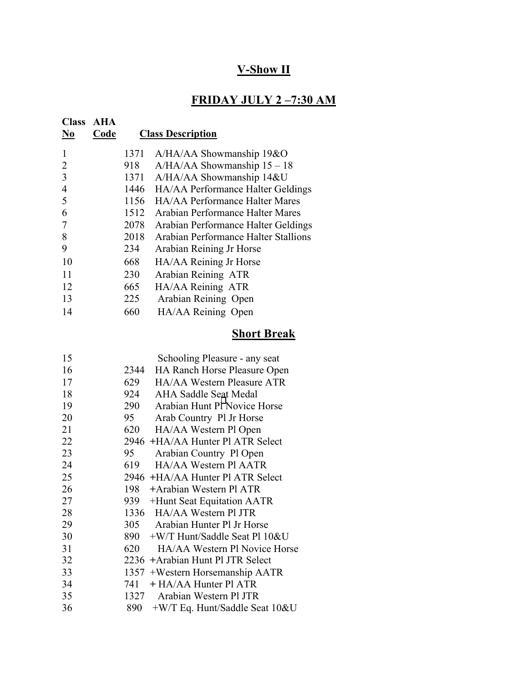# **V-Show II**

## **FRIDAY JULY 2 –7:30 AM**

| <b>Class</b><br>N <sub>0</sub> | <b>AHA</b><br>Code |      | <b>Class Description</b>             |
|--------------------------------|--------------------|------|--------------------------------------|
|                                |                    | 1371 | $A/HA/AA$ Showmanship 19&O           |
| 2                              |                    | 918  | $A/HA/AA$ Showmanship $15-18$        |
| 3                              |                    | 1371 | A/HA/AA Showmanship 14&U             |
| $\overline{4}$                 |                    | 1446 | HA/AA Performance Halter Geldings    |
| 5                              |                    | 1156 | HA/AA Performance Halter Mares       |
| 6                              |                    | 1512 | Arabian Performance Halter Mares     |
|                                |                    | 2078 | Arabian Performance Halter Geldings  |
| 8                              |                    | 2018 | Arabian Performance Halter Stallions |
| 9                              |                    | 234  | Arabian Reining Jr Horse             |
| 10                             |                    | 668  | HA/AA Reining Jr Horse               |
| 11                             |                    | 230  | Arabian Reining ATR                  |
| 12                             |                    | 665  | HA/AA Reining ATR                    |
| 13                             |                    | 225  | Arabian Reining Open                 |
| 14                             |                    | 660  | HA/AA Reining Open                   |

# **Short Break**

| 15 |      | Schooling Pleasure - any seat     |
|----|------|-----------------------------------|
| 16 | 2344 | HA Ranch Horse Pleasure Open      |
| 17 | 629  | HA/AA Western Pleasure ATR        |
| 18 | 924  | AHA Saddle Seat Medal             |
| 19 | 290  | Arabian Hunt PH Novice Horse      |
| 20 | 95   | Arab Country Pl Jr Horse          |
| 21 | 620  | HA/AA Western Pl Open             |
| 22 |      | 2946 +HA/AA Hunter Pl ATR Select  |
| 23 | 95   | Arabian Country Pl Open           |
| 24 | 619  | HA/AA Western Pl AATR             |
| 25 |      | 2946 +HA/AA Hunter Pl ATR Select  |
| 26 | 198  | +Arabian Western Pl ATR           |
| 27 | 939  | +Hunt Seat Equitation AATR        |
| 28 |      | 1336 HA/AA Western Pl JTR         |
| 29 | 305  | Arabian Hunter Pl Jr Horse        |
| 30 | 890  | +W/T Hunt/Saddle Seat Pl 10&U     |
| 31 | 620  | HA/AA Western Pl Novice Horse     |
| 32 |      | 2236 + Arabian Hunt Pl JTR Select |
| 33 |      | 1357 +Western Horsemanship AATR   |
| 34 | 741  | + HA/AA Hunter Pl ATR             |
| 35 | 1327 | Arabian Western Pl JTR            |
| 36 | 890  | $+W/T$ Eq. Hunt/Saddle Seat 10&U  |
|    |      |                                   |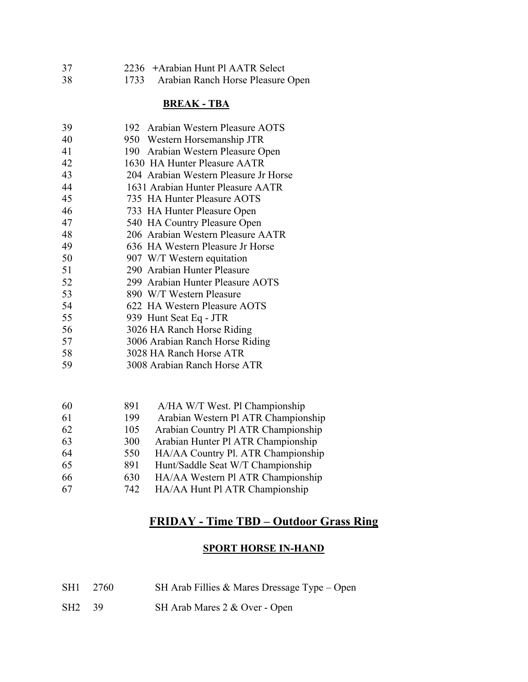| 37 | 2236 + Arabian Hunt Pl AATR Select     |
|----|----------------------------------------|
| 38 | 1733 Arabian Ranch Horse Pleasure Open |

#### **BREAK - TBA**

| 39 | 192 Arabian Western Pleasure AOTS     |
|----|---------------------------------------|
| 40 | 950 Western Horsemanship JTR          |
| 41 | 190 Arabian Western Pleasure Open     |
| 42 | 1630 HA Hunter Pleasure AATR          |
| 43 | 204 Arabian Western Pleasure Jr Horse |
| 44 | 1631 Arabian Hunter Pleasure AATR     |
| 45 | 735 HA Hunter Pleasure AOTS           |
| 46 | 733 HA Hunter Pleasure Open           |
| 47 | 540 HA Country Pleasure Open          |
| 48 | 206 Arabian Western Pleasure AATR     |
| 49 | 636 HA Western Pleasure Jr Horse      |
| 50 | 907 W/T Western equitation            |
| 51 | 290 Arabian Hunter Pleasure           |
| 52 | 299 Arabian Hunter Pleasure AOTS      |
| 53 | 890 W/T Western Pleasure              |
| 54 | 622 HA Western Pleasure AOTS          |
| 55 | 939 Hunt Seat Eq - JTR                |
| 56 | 3026 HA Ranch Horse Riding            |
| 57 | 3006 Arabian Ranch Horse Riding       |
| 58 | 3028 HA Ranch Horse ATR               |
| 59 | 3008 Arabian Ranch Horse ATR          |
|    |                                       |
|    |                                       |

| 60 | 891 | A/HA W/T West. Pl Championship      |
|----|-----|-------------------------------------|
| 61 | 199 | Arabian Western Pl ATR Championship |
| 62 | 105 | Arabian Country Pl ATR Championship |
| 63 | 300 | Arabian Hunter Pl ATR Championship  |
| 64 | 550 | HA/AA Country Pl. ATR Championship  |
| 65 | 891 | Hunt/Saddle Seat W/T Championship   |
| 66 | 630 | HA/AA Western Pl ATR Championship   |
|    |     |                                     |

67 742 HA/AA Hunt Pl ATR Championship

## **FRIDAY - Time TBD – Outdoor Grass Ring**

### **SPORT HORSE IN-HAND**

| SH1 2760 |  | SH Arab Fillies & Mares Dressage Type - Open |  |
|----------|--|----------------------------------------------|--|
|----------|--|----------------------------------------------|--|

SH2 39 SH Arab Mares 2 & Over - Open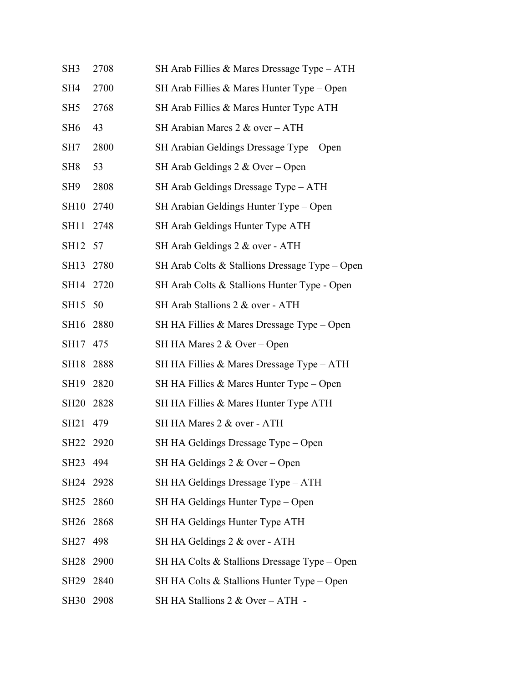| SH3              | 2708 | SH Arab Fillies & Mares Dressage Type - ATH    |
|------------------|------|------------------------------------------------|
| SH4              | 2700 | SH Arab Fillies & Mares Hunter Type $-$ Open   |
| SH5              | 2768 | SH Arab Fillies & Mares Hunter Type ATH        |
| SH6              | 43   | SH Arabian Mares 2 & over - ATH                |
| SH7              | 2800 | SH Arabian Geldings Dressage Type – Open       |
| SH8              | 53   | SH Arab Geldings $2 & \text{Over}-\text{Open}$ |
| SH9              | 2808 | SH Arab Geldings Dressage Type – ATH           |
| <b>SH10</b>      | 2740 | SH Arabian Geldings Hunter Type – Open         |
| <b>SH11</b>      | 2748 | SH Arab Geldings Hunter Type ATH               |
| <b>SH12</b>      | 57   | SH Arab Geldings 2 & over - ATH                |
| <b>SH13</b>      | 2780 | SH Arab Colts & Stallions Dressage Type – Open |
| SH14             | 2720 | SH Arab Colts & Stallions Hunter Type - Open   |
| SH15             | 50   | SH Arab Stallions 2 & over - ATH               |
| SH16             | 2880 | SH HA Fillies & Mares Dressage Type – Open     |
| SH17             | 475  | SH HA Mares 2 & Over – Open                    |
| SH18             | 2888 | SH HA Fillies & Mares Dressage Type - ATH      |
| SH19             | 2820 | SH HA Fillies & Mares Hunter Type – Open       |
| <b>SH20</b>      | 2828 | SH HA Fillies & Mares Hunter Type ATH          |
| SH <sub>21</sub> | 479  | SH HA Mares 2 & over - ATH                     |
| <b>SH22</b>      | 2920 | SH HA Geldings Dressage Type - Open            |
| SH23             | 494  | SH HA Geldings $2 & \text{Over} - \text{Open}$ |
| SH24             | 2928 | SH HA Geldings Dressage Type - ATH             |
| SH25             | 2860 | SH HA Geldings Hunter Type – Open              |
| <b>SH26</b>      | 2868 | SH HA Geldings Hunter Type ATH                 |
| <b>SH27</b>      | 498  | SH HA Geldings 2 & over - ATH                  |
| <b>SH28</b>      | 2900 | SH HA Colts $&$ Stallions Dressage Type – Open |
| SH29             | 2840 | SH HA Colts & Stallions Hunter Type - Open     |
| <b>SH30</b>      | 2908 | SH HA Stallions 2 & Over - ATH -               |